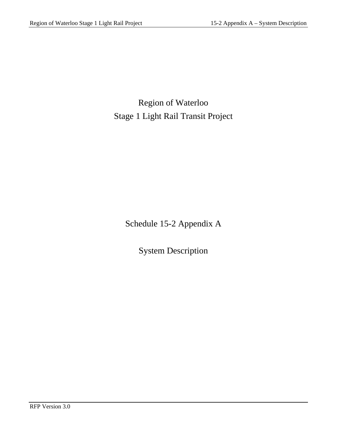Region of Waterloo Stage 1 Light Rail Transit Project

Schedule 15-2 Appendix A

System Description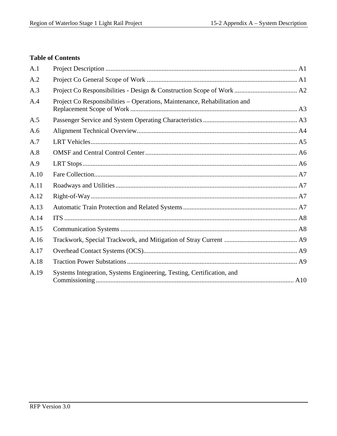# **Table of Contents**

| A.1  |                                                                           |  |
|------|---------------------------------------------------------------------------|--|
| A.2  |                                                                           |  |
| A.3  |                                                                           |  |
| A.4  | Project Co Responsibilities – Operations, Maintenance, Rehabilitation and |  |
| A.5  |                                                                           |  |
| A.6  |                                                                           |  |
| A.7  |                                                                           |  |
| A.8  |                                                                           |  |
| A.9  |                                                                           |  |
| A.10 |                                                                           |  |
| A.11 |                                                                           |  |
| A.12 |                                                                           |  |
| A.13 |                                                                           |  |
| A.14 |                                                                           |  |
| A.15 |                                                                           |  |
| A.16 |                                                                           |  |
| A.17 |                                                                           |  |
| A.18 |                                                                           |  |
| A.19 | Systems Integration, Systems Engineering, Testing, Certification, and     |  |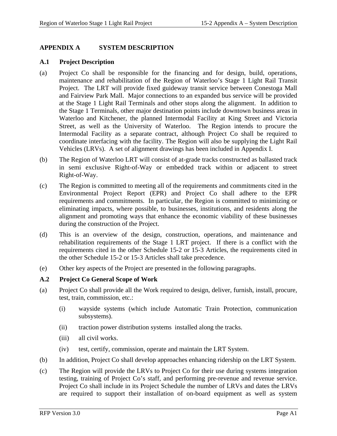## **APPENDIX A SYSTEM DESCRIPTION**

## **A.1 Project Description**

- (a) Project Co shall be responsible for the financing and for design, build, operations, maintenance and rehabilitation of the Region of Waterloo's Stage 1 Light Rail Transit Project. The LRT will provide fixed guideway transit service between Conestoga Mall and Fairview Park Mall. Major connections to an expanded bus service will be provided at the Stage 1 Light Rail Terminals and other stops along the alignment. In addition to the Stage 1 Terminals, other major destination points include downtown business areas in Waterloo and Kitchener, the planned Intermodal Facility at King Street and Victoria Street, as well as the University of Waterloo. The Region intends to procure the Intermodal Facility as a separate contract, although Project Co shall be required to coordinate interfacing with the facility. The Region will also be supplying the Light Rail Vehicles (LRVs). A set of alignment drawings has been included in Appendix I.
- (b) The Region of Waterloo LRT will consist of at-grade tracks constructed as ballasted track in semi exclusive Right-of-Way or embedded track within or adjacent to street Right-of-Way.
- (c) The Region is committed to meeting all of the requirements and commitments cited in the Environmental Project Report (EPR) and Project Co shall adhere to the EPR requirements and commitments. In particular, the Region is committed to minimizing or eliminating impacts, where possible, to businesses, institutions, and residents along the alignment and promoting ways that enhance the economic viability of these businesses during the construction of the Project.
- (d) This is an overview of the design, construction, operations, and maintenance and rehabilitation requirements of the Stage 1 LRT project. If there is a conflict with the requirements cited in the other Schedule 15-2 or 15-3 Articles, the requirements cited in the other Schedule 15-2 or 15-3 Articles shall take precedence.
- (e) Other key aspects of the Project are presented in the following paragraphs.

## **A.2 Project Co General Scope of Work**

- (a) Project Co shall provide all the Work required to design, deliver, furnish, install, procure, test, train, commission, etc.:
	- (i) wayside systems (which include Automatic Train Protection, communication subsystems).
	- (ii) traction power distribution systems installed along the tracks.
	- (iii) all civil works.
	- (iv) test, certify, commission, operate and maintain the LRT System.
- (b) In addition, Project Co shall develop approaches enhancing ridership on the LRT System.
- (c) The Region will provide the LRVs to Project Co for their use during systems integration testing, training of Project Co's staff, and performing pre-revenue and revenue service. Project Co shall include in its Project Schedule the number of LRVs and dates the LRVs are required to support their installation of on-board equipment as well as system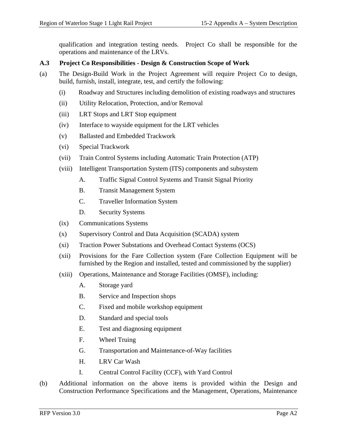qualification and integration testing needs. Project Co shall be responsible for the operations and maintenance of the LRVs.

## **A.3 Project Co Responsibilities - Design & Construction Scope of Work**

- (a) The Design-Build Work in the Project Agreement will require Project Co to design, build, furnish, install, integrate, test, and certify the following:
	- (i) Roadway and Structures including demolition of existing roadways and structures
	- (ii) Utility Relocation, Protection, and/or Removal
	- (iii) LRT Stops and LRT Stop equipment
	- (iv) Interface to wayside equipment for the LRT vehicles
	- (v) Ballasted and Embedded Trackwork
	- (vi) Special Trackwork
	- (vii) Train Control Systems including Automatic Train Protection (ATP)
	- (viii) Intelligent Transportation System (ITS) components and subsystem
		- A. Traffic Signal Control Systems and Transit Signal Priority
		- B. Transit Management System
		- C. Traveller Information System
		- D. Security Systems
	- (ix) Communications Systems
	- (x) Supervisory Control and Data Acquisition (SCADA) system
	- (xi) Traction Power Substations and Overhead Contact Systems (OCS)
	- (xii) Provisions for the Fare Collection system (Fare Collection Equipment will be furnished by the Region and installed, tested and commissioned by the supplier)
	- (xiii) Operations, Maintenance and Storage Facilities (OMSF), including:
		- A. Storage yard
		- B. Service and Inspection shops
		- C. Fixed and mobile workshop equipment
		- D. Standard and special tools
		- E. Test and diagnosing equipment
		- F. Wheel Truing
		- G. Transportation and Maintenance-of-Way facilities
		- H. LRV Car Wash
		- I. Central Control Facility (CCF), with Yard Control
- (b) Additional information on the above items is provided within the Design and Construction Performance Specifications and the Management, Operations, Maintenance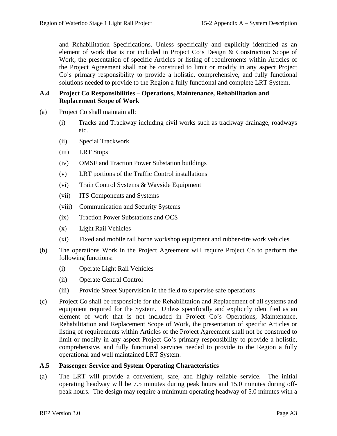and Rehabilitation Specifications. Unless specifically and explicitly identified as an element of work that is not included in Project Co's Design & Construction Scope of Work, the presentation of specific Articles or listing of requirements within Articles of the Project Agreement shall not be construed to limit or modify in any aspect Project Co's primary responsibility to provide a holistic, comprehensive, and fully functional solutions needed to provide to the Region a fully functional and complete LRT System.

## **A.4 Project Co Responsibilities – Operations, Maintenance, Rehabilitation and Replacement Scope of Work**

- (a) Project Co shall maintain all:
	- (i) Tracks and Trackway including civil works such as trackway drainage, roadways etc.
	- (ii) Special Trackwork
	- (iii) LRT Stops
	- (iv) OMSF and Traction Power Substation buildings
	- (v) LRT portions of the Traffic Control installations
	- (vi) Train Control Systems & Wayside Equipment
	- (vii) ITS Components and Systems
	- (viii) Communication and Security Systems
	- (ix) Traction Power Substations and OCS
	- (x) Light Rail Vehicles
	- (xi) Fixed and mobile rail borne workshop equipment and rubber-tire work vehicles.
- (b) The operations Work in the Project Agreement will require Project Co to perform the following functions:
	- (i) Operate Light Rail Vehicles
	- (ii) Operate Central Control
	- (iii) Provide Street Supervision in the field to supervise safe operations
- (c) Project Co shall be responsible for the Rehabilitation and Replacement of all systems and equipment required for the System. Unless specifically and explicitly identified as an element of work that is not included in Project Co's Operations, Maintenance, Rehabilitation and Replacement Scope of Work, the presentation of specific Articles or listing of requirements within Articles of the Project Agreement shall not be construed to limit or modify in any aspect Project Co's primary responsibility to provide a holistic, comprehensive, and fully functional services needed to provide to the Region a fully operational and well maintained LRT System.

### **A.5 Passenger Service and System Operating Characteristics**

(a) The LRT will provide a convenient, safe, and highly reliable service. The initial operating headway will be 7.5 minutes during peak hours and 15.0 minutes during offpeak hours. The design may require a minimum operating headway of 5.0 minutes with a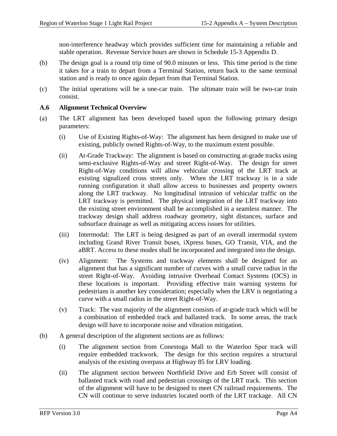non-interference headway which provides sufficient time for maintaining a reliable and stable operation. Revenue Service hours are shown in Schedule 15-3 Appendix D.

- (b) The design goal is a round trip time of 90.0 minutes or less. This time period is the time it takes for a train to depart from a Terminal Station, return back to the same terminal station and is ready to once again depart from that Terminal Station.
- (c) The initial operations will be a one-car train. The ultimate train will be two-car train consist.

### **A.6 Alignment Technical Overview**

- (a) The LRT alignment has been developed based upon the following primary design parameters:
	- (i) Use of Existing Rights-of-Way: The alignment has been designed to make use of existing, publicly owned Rights-of-Way, to the maximum extent possible.
	- (ii) At-Grade Trackway: The alignment is based on constructing at-grade tracks using semi-exclusive Rights-of-Way and street Right-of-Way. The design for street Right-of-Way conditions will allow vehicular crossing of the LRT track at existing signalized cross streets only. When the LRT trackway is in a side running configuration it shall allow access to businesses and property owners along the LRT trackway. No longitudinal intrusion of vehicular traffic on the LRT trackway is permitted. The physical integration of the LRT trackway into the existing street environment shall be accomplished in a seamless manner. The trackway design shall address roadway geometry, sight distances, surface and subsurface drainage as well as mitigating access issues for utilities.
	- (iii) Intermodal: The LRT is being designed as part of an overall intermodal system including Grand River Transit buses, iXpress buses, GO Transit, VIA, and the aBRT. Access to these modes shall be incorporated and integrated into the design.
	- (iv) Alignment: The Systems and trackway elements shall be designed for an alignment that has a significant number of curves with a small curve radius in the street Right-of-Way. Avoiding intrusive Overhead Contact Systems (OCS) in these locations is important. Providing effective train warning systems for pedestrians is another key consideration; especially when the LRV is negotiating a curve with a small radius in the street Right-of-Way.
	- (v) Track: The vast majority of the alignment consists of at-grade track which will be a combination of embedded track and ballasted track. In some areas, the track design will have to incorporate noise and vibration mitigation.
- (b) A general description of the alignment sections are as follows:
	- (i) The alignment section from Conestoga Mall to the Waterloo Spur track will require embedded trackwork. The design for this section requires a structural analysis of the existing overpass at Highway 85 for LRV loading.
	- (ii) The alignment section between Northfield Drive and Erb Street will consist of ballasted track with road and pedestrian crossings of the LRT track. This section of the alignment will have to be designed to meet CN railroad requirements. The CN will continue to serve industries located north of the LRT trackage. All CN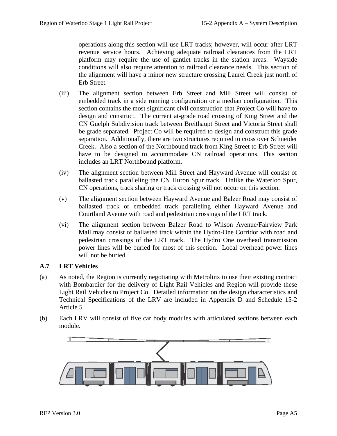operations along this section will use LRT tracks; however, will occur after LRT revenue service hours. Achieving adequate railroad clearances from the LRT platform may require the use of gantlet tracks in the station areas. Wayside conditions will also require attention to railroad clearance needs. This section of the alignment will have a minor new structure crossing Laurel Creek just north of Erb Street.

- (iii) The alignment section between Erb Street and Mill Street will consist of embedded track in a side running configuration or a median configuration. This section contains the most significant civil construction that Project Co will have to design and construct. The current at-grade road crossing of King Street and the CN Guelph Subdivision track between Breithaupt Street and Victoria Street shall be grade separated. Project Co will be required to design and construct this grade separation. Additionally, there are two structures required to cross over Schneider Creek. Also a section of the Northbound track from King Street to Erb Street will have to be designed to accommodate CN railroad operations. This section includes an LRT Northbound platform.
- (iv) The alignment section between Mill Street and Hayward Avenue will consist of ballasted track paralleling the CN Huron Spur track. Unlike the Waterloo Spur, CN operations, track sharing or track crossing will not occur on this section.
- (v) The alignment section between Hayward Avenue and Balzer Road may consist of ballasted track or embedded track paralleling either Hayward Avenue and Courtland Avenue with road and pedestrian crossings of the LRT track.
- (vi) The alignment section between Balzer Road to Wilson Avenue/Fairview Park Mall may consist of ballasted track within the Hydro-One Corridor with road and pedestrian crossings of the LRT track. The Hydro One overhead transmission power lines will be buried for most of this section. Local overhead power lines will not be buried.

## **A.7 LRT Vehicles**

- (a) As noted, the Region is currently negotiating with Metrolinx to use their existing contract with Bombardier for the delivery of Light Rail Vehicles and Region will provide these Light Rail Vehicles to Project Co.Detailed information on the design characteristics and Technical Specifications of the LRV are included in Appendix D and Schedule 15-2 Article 5.
- (b) Each LRV will consist of five car body modules with articulated sections between each module.

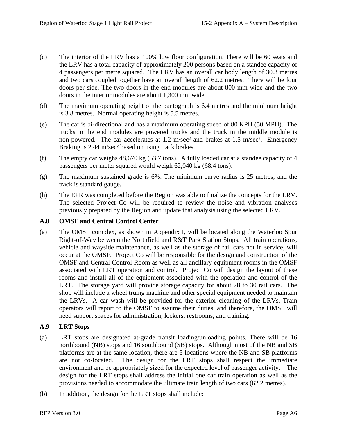- (c) The interior of the LRV has a 100% low floor configuration. There will be 60 seats and the LRV has a total capacity of approximately 200 persons based on a standee capacity of 4 passengers per metre squared. The LRV has an overall car body length of 30.3 metres and two cars coupled together have an overall length of 62.2 metres. There will be four doors per side. The two doors in the end modules are about 800 mm wide and the two doors in the interior modules are about 1,300 mm wide.
- (d) The maximum operating height of the pantograph is 6.4 metres and the minimum height is 3.8 metres. Normal operating height is 5.5 metres.
- (e) The car is bi-directional and has a maximum operating speed of 80 KPH (50 MPH). The trucks in the end modules are powered trucks and the truck in the middle module is non-powered. The car accelerates at 1.2 m/sec² and brakes at 1.5 m/sec². Emergency Braking is 2.44 m/sec² based on using track brakes.
- (f) The empty car weighs 48,670 kg (53.7 tons). A fully loaded car at a standee capacity of 4 passengers per meter squared would weigh 62,040 kg (68.4 tons).
- (g) The maximum sustained grade is 6%. The minimum curve radius is 25 metres; and the track is standard gauge.
- (h) The EPR was completed before the Region was able to finalize the concepts for the LRV. The selected Project Co will be required to review the noise and vibration analyses previously prepared by the Region and update that analysis using the selected LRV.

## **A.8 OMSF and Central Control Center**

(a) The OMSF complex, as shown in Appendix I, will be located along the Waterloo Spur Right-of-Way between the Northfield and R&T Park Station Stops. All train operations, vehicle and wayside maintenance, as well as the storage of rail cars not in service, will occur at the OMSF. Project Co will be responsible for the design and construction of the OMSF and Central Control Room as well as all ancillary equipment rooms in the OMSF associated with LRT operation and control. Project Co will design the layout of these rooms and install all of the equipment associated with the operation and control of the LRT. The storage yard will provide storage capacity for about 28 to 30 rail cars. The shop will include a wheel truing machine and other special equipment needed to maintain the LRVs. A car wash will be provided for the exterior cleaning of the LRVs. Train operators will report to the OMSF to assume their duties, and therefore, the OMSF will need support spaces for administration, lockers, restrooms, and training.

## **A.9 LRT Stops**

- (a) LRT stops are designated at-grade transit loading/unloading points. There will be 16 northbound (NB) stops and 16 southbound (SB) stops. Although most of the NB and SB platforms are at the same location, there are 5 locations where the NB and SB platforms are not co-located. The design for the LRT stops shall respect the immediate environment and be appropriately sized for the expected level of passenger activity. The design for the LRT stops shall address the initial one car train operation as well as the provisions needed to accommodate the ultimate train length of two cars (62.2 metres).
- (b) In addition, the design for the LRT stops shall include: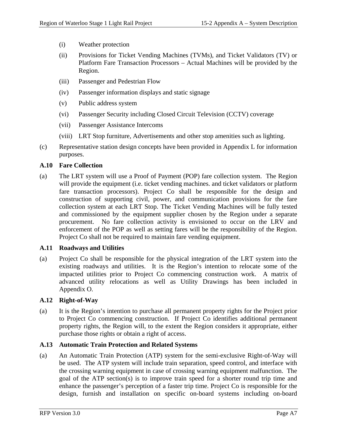- (i) Weather protection
- (ii) Provisions for Ticket Vending Machines (TVMs), and Ticket Validators (TV) or Platform Fare Transaction Processors – Actual Machines will be provided by the Region.
- (iii) Passenger and Pedestrian Flow
- (iv) Passenger information displays and static signage
- (v) Public address system
- (vi) Passenger Security including Closed Circuit Television (CCTV) coverage
- (vii) Passenger Assistance Intercoms
- (viii) LRT Stop furniture, Advertisements and other stop amenities such as lighting.
- (c) Representative station design concepts have been provided in Appendix L for information purposes.

## **A.10 Fare Collection**

(a) The LRT system will use a Proof of Payment (POP) fare collection system. The Region will provide the equipment (i.e. ticket vending machines. and ticket validators or platform fare transaction processors). Project Co shall be responsible for the design and construction of supporting civil, power, and communication provisions for the fare collection system at each LRT Stop. The Ticket Vending Machines will be fully tested and commissioned by the equipment supplier chosen by the Region under a separate procurement. No fare collection activity is envisioned to occur on the LRV and enforcement of the POP as well as setting fares will be the responsibility of the Region. Project Co shall not be required to maintain fare vending equipment.

### **A.11 Roadways and Utilities**

(a) Project Co shall be responsible for the physical integration of the LRT system into the existing roadways and utilities. It is the Region's intention to relocate some of the impacted utilities prior to Project Co commencing construction work. A matrix of advanced utility relocations as well as Utility Drawings has been included in Appendix O.

### **A.12 Right-of-Way**

(a) It is the Region's intention to purchase all permanent property rights for the Project prior to Project Co commencing construction. If Project Co identifies additional permanent property rights, the Region will, to the extent the Region considers it appropriate, either purchase those rights or obtain a right of access.

### **A.13 Automatic Train Protection and Related Systems**

(a) An Automatic Train Protection (ATP) system for the semi-exclusive Right-of-Way will be used. The ATP system will include train separation, speed control, and interface with the crossing warning equipment in case of crossing warning equipment malfunction. The goal of the ATP section(s) is to improve train speed for a shorter round trip time and enhance the passenger's perception of a faster trip time. Project Co is responsible for the design, furnish and installation on specific on-board systems including on-board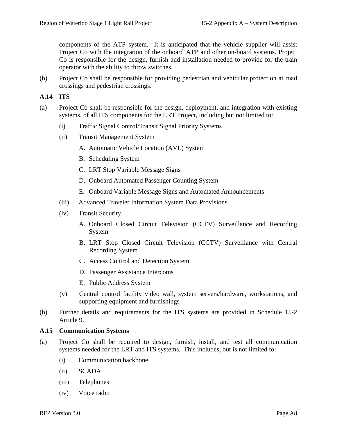components of the ATP system. It is anticipated that the vehicle supplier will assist Project Co with the integration of the onboard ATP and other on-board systems. Project Co is responsible for the design, furnish and installation needed to provide for the train operator with the ability to throw switches.

(b) Project Co shall be responsible for providing pedestrian and vehicular protection at road crossings and pedestrian crossings.

## **A.14 ITS**

- (a) Project Co shall be responsible for the design, deployment, and integration with existing systems, of all ITS components for the LRT Project, including but not limited to:
	- (i) Traffic Signal Control/Transit Signal Priority Systems
	- (ii) Transit Management System
		- A. Automatic Vehicle Location (AVL) System
		- B. Scheduling System
		- C. LRT Stop Variable Message Signs
		- D. Onboard Automated Passenger Counting System
		- E. Onboard Variable Message Signs and Automated Announcements
	- (iii) Advanced Traveler Information System Data Provisions
	- (iv) Transit Security
		- A. Onboard Closed Circuit Television (CCTV) Surveillance and Recording System
		- B. LRT Stop Closed Circuit Television (CCTV) Surveillance with Central Recording System
		- C. Access Control and Detection System
		- D. Passenger Assistance Intercoms
		- E. Public Address System
	- (v) Central control facility video wall, system servers/hardware, workstations, and supporting equipment and furnishings
- (b) Further details and requirements for the ITS systems are provided in Schedule 15-2 Article 9.

### **A.15 Communication Systems**

- (a) Project Co shall be required to design, furnish, install, and test all communication systems needed for the LRT and ITS systems. This includes, but is not limited to:
	- (i) Communication backbone
	- (ii) SCADA
	- (iii) Telephones
	- (iv) Voice radio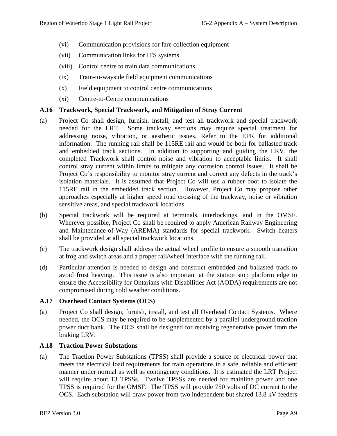- (vi) Communication provisions for fare collection equipment
- (vii) Communication links for ITS systems
- (viii) Control centre to train data communications
- (ix) Train-to-wayside field equipment communications
- (x) Field equipment to control centre communications
- (xi) Centre-to-Centre communications

### **A.16 Trackwork, Special Trackwork, and Mitigation of Stray Current**

- (a) Project Co shall design, furnish, install, and test all trackwork and special trackwork needed for the LRT. Some trackway sections may require special treatment for addressing noise, vibration, or aesthetic issues. Refer to the EPR for additional information. The running rail shall be 115RE rail and would be both for ballasted track and embedded track sections. In addition to supporting and guiding the LRV, the completed Trackwork shall control noise and vibration to acceptable limits. It shall control stray current within limits to mitigate any corrosion control issues. It shall be Project Co's responsibility to monitor stray current and correct any defects in the track's isolation materials. It is assumed that Project Co will use a rubber boot to isolate the 115RE rail in the embedded track section. However, Project Co may propose other approaches especially at higher speed road crossing of the trackway, noise or vibration sensitive areas, and special trackwork locations.
- (b) Special trackwork will be required at terminals, interlockings, and in the OMSF. Wherever possible, Project Co shall be required to apply American Railway Engineering and Maintenance-of-Way (AREMA) standards for special trackwork. Switch heaters shall be provided at all special trackwork locations.
- (c) The trackwork design shall address the actual wheel profile to ensure a smooth transition at frog and switch areas and a proper rail/wheel interface with the running rail.
- (d) Particular attention is needed to design and construct embedded and ballasted track to avoid frost heaving. This issue is also important at the station stop platform edge to ensure the Accessibility for Ontarians with Disabilities Act (AODA) requirements are not compromised during cold weather conditions.

### **A.17 Overhead Contact Systems (OCS)**

(a) Project Co shall design, furnish, install, and test all Overhead Contact Systems. Where needed, the OCS may be required to be supplemented by a parallel underground traction power duct bank. The OCS shall be designed for receiving regenerative power from the braking LRV.

### **A.18 Traction Power Substations**

(a) The Traction Power Substations (TPSS) shall provide a source of electrical power that meets the electrical load requirements for train operations in a safe, reliable and efficient manner under normal as well as contingency conditions. It is estimated the LRT Project will require about 13 TPSSs. Twelve TPSSs are needed for mainline power and one TPSS is required for the OMSF. The TPSS will provide 750 volts of DC current to the OCS. Each substation will draw power from two independent but shared 13.8 kV feeders